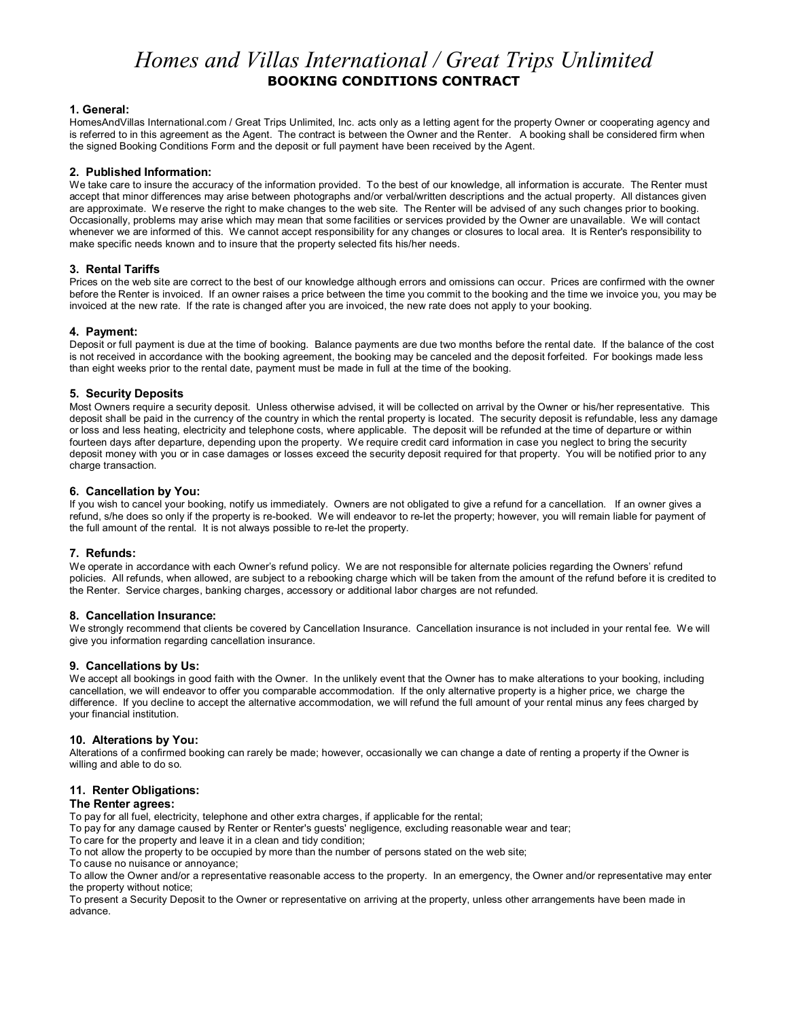# *Homes and Villas International / Great Trips Unlimited* **BOOKING CONDITIONS CONTRACT**

## **1. General:**

HomesAndVillas International.com / Great Trips Unlimited, Inc. acts only as a letting agent for the property Owner or cooperating agency and is referred to in this agreement as the Agent. The contract is between the Owner and the Renter. A booking shall be considered firm when the signed Booking Conditions Form and the deposit or full payment have been received by the Agent.

## **2. Published Information:**

We take care to insure the accuracy of the information provided. To the best of our knowledge, all information is accurate. The Renter must accept that minor differences may arise between photographs and/or verbal/written descriptions and the actual property. All distances given are approximate. We reserve the right to make changes to the web site. The Renter will be advised of any such changes prior to booking. Occasionally, problems may arise which may mean that some facilities or services provided by the Owner are unavailable. We will contact whenever we are informed of this. We cannot accept responsibility for any changes or closures to local area. It is Renter's responsibility to make specific needs known and to insure that the property selected fits his/her needs.

## **3. Rental Tariffs**

Prices on the web site are correct to the best of our knowledge although errors and omissions can occur. Prices are confirmed with the owner before the Renter is invoiced. If an owner raises a price between the time you commit to the booking and the time we invoice you, you may be invoiced at the new rate. If the rate is changed after you are invoiced, the new rate does not apply to your booking.

## **4. Payment:**

Deposit or full payment is due at the time of booking. Balance payments are due two months before the rental date. If the balance of the cost is not received in accordance with the booking agreement, the booking may be canceled and the deposit forfeited. For bookings made less than eight weeks prior to the rental date, payment must be made in full at the time of the booking.

## **5. Security Deposits**

Most Owners require a security deposit. Unless otherwise advised, it will be collected on arrival by the Owner or his/her representative. This deposit shall be paid in the currency of the country in which the rental property is located. The security deposit is refundable, less any damage or loss and less heating, electricity and telephone costs, where applicable. The deposit will be refunded at the time of departure or within fourteen days after departure, depending upon the property. We require credit card information in case you neglect to bring the security deposit money with you or in case damages or losses exceed the security deposit required for that property. You will be notified prior to any charge transaction.

### **6. Cancellation by You:**

If you wish to cancel your booking, notify us immediately. Owners are not obligated to give a refund for a cancellation. If an owner gives a refund, s/he does so only if the property is re-booked. We will endeavor to re-let the property; however, you will remain liable for payment of the full amount of the rental. It is not always possible to re-let the property.

### **7. Refunds:**

We operate in accordance with each Owner's refund policy. We are not responsible for alternate policies regarding the Owners' refund policies. All refunds, when allowed, are subject to a rebooking charge which will be taken from the amount of the refund before it is credited to the Renter. Service charges, banking charges, accessory or additional labor charges are not refunded.

## **8. Cancellation Insurance:**

We strongly recommend that clients be covered by Cancellation Insurance. Cancellation insurance is not included in your rental fee. We will give you information regarding cancellation insurance.

### **9. Cancellations by Us:**

We accept all bookings in good faith with the Owner. In the unlikely event that the Owner has to make alterations to your booking, including cancellation, we will endeavor to offer you comparable accommodation. If the only alternative property is a higher price, we charge the difference. If you decline to accept the alternative accommodation, we will refund the full amount of your rental minus any fees charged by your financial institution.

### **10. Alterations by You:**

Alterations of a confirmed booking can rarely be made; however, occasionally we can change a date of renting a property if the Owner is willing and able to do so.

# **11. Renter Obligations:**

### **The Renter agrees:**

To pay for all fuel, electricity, telephone and other extra charges, if applicable for the rental;

- To pay for any damage caused by Renter or Renter's guests' negligence, excluding reasonable wear and tear;
- To care for the property and leave it in a clean and tidy condition;
- To not allow the property to be occupied by more than the number of persons stated on the web site;
- To cause no nuisance or annoyance;

To allow the Owner and/or a representative reasonable access to the property. In an emergency, the Owner and/or representative may enter the property without notice;

To present a Security Deposit to the Owner or representative on arriving at the property, unless other arrangements have been made in advance.